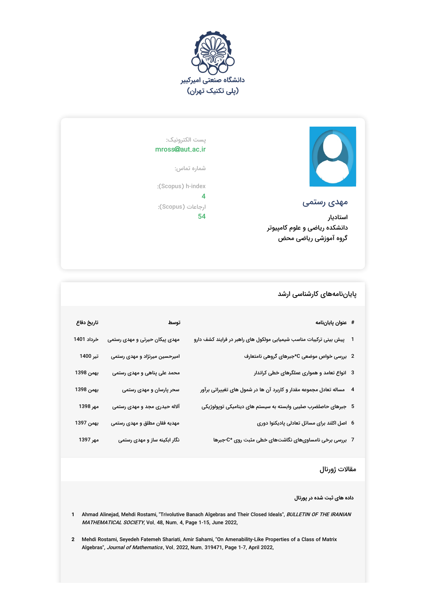



مهدی رستمی

استادیار دانشکده ریاضی و علوم کامپیوتر گروه آموزشی ریاضی محض

پست الکترونیک: mross@aut.ac.ir

شماره تماس:

:(Scopus) h-index

4 ارجاعات (Scopus(: 54

## پایاننامههای کارشناسی ارشد

| # عنوان پاياننامه                                                      | توسط                          | تاريخ دفاع |
|------------------------------------------------------------------------|-------------------------------|------------|
| 1 ٪ پیش بینی ترکیبات مناسب شیمیایی مولکول های راهبر در فرایند کشف دارو | مهدی پیکان حیرتی و مهدی رستمی | خرداد 1401 |
| 2   بررسی خواص موضعی C*جبرهای گروهی نامتعارف                           | امیرحسین میرنژاد و مهدی رستمی | تیر 1400   |
| 3   انواع تعامد و همواری عملگرهای خطی کراندار                          | محمد علی پناهی و مهدی رستمی   | بهمن 1398  |
| 4 ٪ مساله تعادل مجموعه مقدار و کاربرد آن ها در شمول های تغییراتی برآور | سحر پارسان و مهدی رستمی       | بهمن 1398  |
| 5   جبرهای حاصلضرب صلیبی وابسته به سیستم های دینامیکی توپولوژیکی       | آلاله حیدری مجد و مهدی رستمی  | مهر 1398   |
| 6   اصل اکلند برای مسائل تعادلی پادیکنوا دوری                          | مهدیه فقان مطلق و مهدی رستمی  | بهمن 1397  |
| 7   بررسی برخی نامساویهای نگاشتهای خطی مثبت روی *C-جبرها               | نگار ابکینه ساز و مهدی رستمی  | مهر 1397   |

## مقالات ژورنال

**داده های ثبت شده در پورتال**

**1** Ahmad Alinejad, Mehdi Rostami, "Trivolutive Banach Algebras and Their Closed Ideals", BULLETIN OF THE IRANIAN *MATHEMATICAL SOCIETY*, Vol. 48, Num. 4, Page 1-15, June 2022,

**2** Mehdi Rostami, Seyedeh Fatemeh Shariati, Amir Sahami, "On Amenability-Like Properties of a Class of Matrix Algebras", Journal of Mathematics , Vol. 2022, Num. 319471, Page 1-7, April 2022,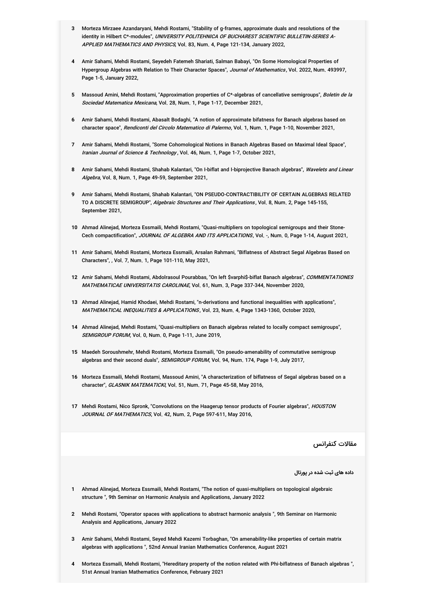- **3** Morteza Mirzaee Azandaryani, Mehdi Rostami, "Stability of g-frames, approximate duals and resolutions of the identity in Hilbert C\*-modules", *UNIVERSITY POLITEHNICA OF BUCHAREST SCIENTIFIC BULLETIN-SERIES A-*A*PPLIED MATHEMATICS AND PHYSICS*, Vol. 83, Num. 4, Page 121-134, January 2022,
- **4** Amir Sahami, Mehdi Rostami, Seyedeh Fatemeh Shariati, Salman Babayi, "On Some Homological Properties of Hypergroup Algebras with Relation to Their Character Spaces", *Journal of Mathematics*, Vol. 2022, Num. 493997, Page 1-5, January 2022,
- **5** Massoud Amini, Mehdi Rostami, "Approximation properties of C\*-algebras of cancellative semigroups", Boletin de la Sociedad Matematica Mexicana, Vol. 28, Num. 1, Page 1-17, December 2021,
- **6** Amir Sahami, Mehdi Rostami, Abasalt Bodaghi, "A notion of approximate bifatness for Banach algebras based on character space", Rendiconti del Circolo Matematico di Palermo, Vol. 1, Num. 1, Page 1-10, November 2021,
- **7** Amir Sahami, Mehdi Rostami, "Some Cohomological Notions in Banach Algebras Based on Maximal Ideal Space", Iranian Journal of Science & Technology, Vol. 46, Num. 1, Page 1-7, October 2021,
- **8** Amir Sahami, Mehdi Rostami, Shahab Kalantari, "On I-biflat and I-biprojective Banach algebras", Wavelets and Linear *Algebra*, Vol. 8, Num. 1, Page 49-59, September 2021,
- **9** Amir Sahami, Mehdi Rostami, Shahab Kalantari, "ON PSEUDO-CONTRACTIBILITY OF CERTAIN ALGEBRAS RELATED TO A DISCRETE SEMIGROUP", *Algebraic Structures and Their Applications*, Vol. 8, Num. 2, Page 145-155, September 2021,
- **10** Ahmad Alinejad, Morteza Essmaili, Mehdi Rostami, "Quasi-multipliers on topological semigroups and their Stone-Cech compactification", JOURNAL OF ALGEBRA AND ITS APPLICATIONS, Vol. -, Num. 0, Page 1-14, August 2021,
- **11** Amir Sahami, Mehdi Rostami, Morteza Essmaili, Arsalan Rahmani, "Biflatness of Abstract Segal Algebras Based on Characters", , Vol. 7, Num. 1, Page 101-110, May 2021,
- **12** Amir Sahami, Mehdi Rostami, Abdolrasoul Pourabbas, "On left \$varphi\$-biflat Banach algebras", COMMENTATIONES *MATHEMATICAE UNIVERSITATIS CAROLINAE*, Vol. 61, Num. 3, Page 337-344, November 2020,
- **13** Ahmad Alinejad, Hamid Khodaei, Mehdi Rostami, "n-derivations and functional inequalities with applications", MATHEMATICAL INEQUALITIES & APPLICATIONS, Vol. 23, Num. 4, Page 1343-1360, October 2020,
- **14** Ahmad Alinejad, Mehdi Rostami, "Quasi-multipliers on Banach algebras related to locally compact semigroups", SEMIGROUP FORUM, Vol. 0, Num. 0, Page 1-11, June 2019,
- **15** Maedeh Soroushmehr, Mehdi Rostami, Morteza Essmaili, "On pseudo-amenability of commutative semigroup algebras and their second duals", *SEMIGROUP FORUM*, Vol. 94, Num. 174, Page 1-9, July 2017,
- **16** Morteza Essmaili, Mehdi Rostami, Massoud Amini, "A characterization of biflatness of Segal algebras based on a character", GLASNIK MATEMATICKI, Vol. 51, Num. 71, Page 45-58, May 2016,
- **17** Mehdi Rostami, Nico Spronk, "Convolutions on the Haagerup tensor products of Fourier algebras", HOUSTON *JOURNAL OF MATHEMATICS*, Vol. 42, Num. 2, Page 597-611, May 2016,

مقالات کنفرانس

**داده های ثبت شده در پورتال**

- **1** Ahmad Alinejad, Morteza Essmaili, Mehdi Rostami, "The notion of quasi-multipliers on topological algebraic structure ", 9th Seminar on Harmonic Analysis and Applications, January 2022
- **2** Mehdi Rostami, "Operator spaces with applications to abstract harmonic analysis ", 9th Seminar on Harmonic Analysis and Applications, January 2022
- **3** Amir Sahami, Mehdi Rostami, Seyed Mehdi Kazemi Torbaghan, "On amenability-like properties of certain matrix algebras with applications ", 52nd Annual Iranian Mathematics Conference, August 2021
- **4** Morteza Essmaili, Mehdi Rostami, "Hereditary property of the notion related with Phi-biflatness of Banach algebras ", 51st Annual Iranian Mathematics Conference, February 2021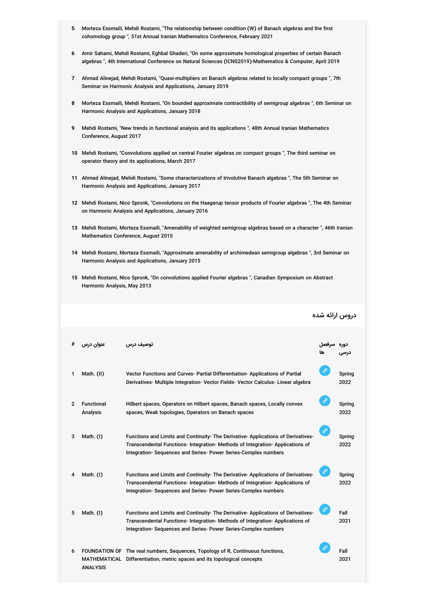- **5** Morteza Essmaili, Mehdi Rostami, "The relationship between condition (W) of Banach algebras and the first cohomology group ", 51st Annual Iranian Mathematics Conference, February 2021
- **6** Amir Sahami, Mehdi Rostami, Eghbal Ghaderi, "On some approximate homological properties of certain Banach algebras ", 4th International Conference on Natural Sciences (ICNS2019)-Mathematics & Computer, April 2019
- **7** Ahmad Alinejad, Mehdi Rostami, "Quasi-multipliers on Banach algebras related to locally compact groups ", 7th Seminar on Harmonic Analysis and Applications, January 2019
- **8** Morteza Essmaili, Mehdi Rostami, "On bounded approximate contractibility of semigroup algebras ", 6th Seminar on Harmonic Analysis and Applications, January 2018
- **9** Mehdi Rostami, "New trends in functional analysis and its applications ", 48th Annual Iranian Mathematics Conference, August 2017
- **10** Mehdi Rostami, "Convolutions applied on central Fourier algebras on compact groups ", The third seminar on operator theory and its applications, March 2017
- **11** Ahmad Alinejad, Mehdi Rostami, "Some characterizations of trivolutive Banach algebras ", The 5th Seminar on Harmonic Analysis and Applications, January 2017
- **12** Mehdi Rostami, Nico Spronk, "Convolutions on the Haagerup tensor products of Fourier algebras ", The 4th Seminar on Harmonic Analysis and Applications, January 2016
- **13** Mehdi Rostami, Morteza Essmaili, "Amenability of weighted semigroup algebras based on a character ", 46th Iranian Mathematics Conference, August 2015
- **14** Mehdi Rostami, Morteza Essmaili, "Approximate amenability of archimedean semigroup algebras ", 3rd Seminar on Harmonic Analysis and Applications, January 2015

دروس ارائه شده

**15** Mehdi Rostami, Nico Spronk, "On convolutions applied Fourier algebras ", Canadian Symposium on Abstract Harmonic Analysis, May 2013

| #              | عنوان درس                     | توصيف درس                                                                                                                                                                                                                           | سرفصل<br>ها   | دوره           |
|----------------|-------------------------------|-------------------------------------------------------------------------------------------------------------------------------------------------------------------------------------------------------------------------------------|---------------|----------------|
| 1              | Math. (II)                    | Vector Functions and Curves- Partial Differentiation- Applications of Partial<br>Derivatives- Multiple Integration- Vector Fields- Vector Calculus- Linear algebra                                                                  | ℰ             | Spring<br>2022 |
| $\overline{2}$ | <b>Functional</b><br>Analysis | Hilbert spaces, Operators on Hilbert spaces, Banach spaces, Locally convex<br>spaces, Weak topologies, Operators on Banach spaces                                                                                                   | ℰ             | Spring<br>2022 |
| 3              | Math. (I)                     | Functions and Limits and Continuity- The Derivative- Applications of Derivatives-<br>Transcendental Functions-Integration-Methods of Integration-Applications of<br>Integration- Sequences and Series- Power Series-Complex numbers | $\mathscr{E}$ | Spring<br>2022 |
| 4              | Math. (I)                     | Functions and Limits and Continuity- The Derivative- Applications of Derivatives-<br>Transcendental Functions-Integration-Methods of Integration-Applications of<br>Integration-Sequences and Series-Power Series-Complex numbers   | $\mathscr{C}$ | Spring<br>2022 |
| 5              | Math. (I)                     | Functions and Limits and Continuity- The Derivative- Applications of Derivatives-<br>Transcendental Functions-Integration-Methods of Integration-Applications of<br>Integration- Sequences and Series- Power Series-Complex numbers | $\mathscr{C}$ | Fall<br>2021   |
| 6              | <b>ANALYSIS</b>               | FOUNDATION OF The real numbers, Sequences, Topology of R, Continuous functions,<br>MATHEMATICAL Differentiation, metric spaces and its topological concepts                                                                         | ℰ             | Fall<br>2021   |